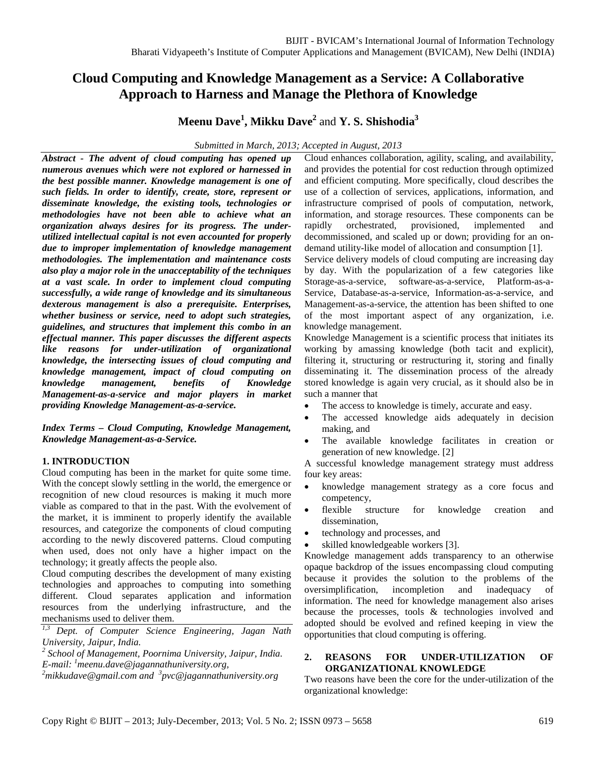# **Cloud Computing and Knowledge Management as a Service: A Collaborative Approach to Harness and Manage the Plethora of Knowledge**

**Meenu Dave<sup>1</sup> , Mikku Dave2** and **Y. S. Shishodia3**

*Submitted in March, 2013; Accepted in August, 2013*

*Abstract - The advent of cloud computing has opened up numerous avenues which were not explored or harnessed in the best possible manner. Knowledge management is one of such fields. In order to identify, create, store, represent or disseminate knowledge, the existing tools, technologies or methodologies have not been able to achieve what an organization always desires for its progress. The underutilized intellectual capital is not even accounted for properly due to improper implementation of knowledge management methodologies. The implementation and maintenance costs also play a major role in the unacceptability of the techniques at a vast scale. In order to implement cloud computing successfully, a wide range of knowledge and its simultaneous dexterous management is also a prerequisite. Enterprises, whether business or service, need to adopt such strategies, guidelines, and structures that implement this combo in an effectual manner. This paper discusses the different aspects like reasons for under-utilization of organizational knowledge, the intersecting issues of cloud computing and knowledge management, impact of cloud computing on knowledge management, benefits of Knowledge Management-as-a-service and major players in market providing Knowledge Management-as-a-service.*

*Index Terms – Cloud Computing, Knowledge Management, Knowledge Management-as-a-Service.* 

## **1. INTRODUCTION**

Cloud computing has been in the market for quite some time. With the concept slowly settling in the world, the emergence or recognition of new cloud resources is making it much more viable as compared to that in the past. With the evolvement of the market, it is imminent to properly identify the available resources, and categorize the components of cloud computing according to the newly discovered patterns. Cloud computing when used, does not only have a higher impact on the technology; it greatly affects the people also.

Cloud computing describes the development of many existing technologies and approaches to computing into something different. Cloud separates application and information resources from the underlying infrastructure, and the mechanisms used to deliver them.

*1,3 Dept. of Computer Science Engineering, Jagan Nath University, Jaipur, India.*

*2 School of Management, Poornima University, Jaipur, India. <sup>1</sup> E-mail: meenu.dave@jagannathuniversity.org, 2*

*mikkudave@gmail.com and <sup>3</sup> pvc@jagannathuniversity.org*

Cloud enhances collaboration, agility, scaling, and availability, and provides the potential for cost reduction through optimized and efficient computing. More specifically, cloud describes the use of a collection of services, applications, information, and infrastructure comprised of pools of computation, network, information, and storage resources. These components can be rapidly orchestrated, provisioned, implemented and rapidly orchestrated, provisioned, implemented and decommissioned, and scaled up or down; providing for an ondemand utility-like model of allocation and consumption [1].

Service delivery models of cloud computing are increasing day by day. With the popularization of a few categories like Storage-as-a-service, software-as-a-service, Platform-as-a-Service, Database-as-a-service, Information-as-a-service, and Management-as-a-service, the attention has been shifted to one of the most important aspect of any organization, i.e. knowledge management.

Knowledge Management is a scientific process that initiates its working by amassing knowledge (both tacit and explicit), filtering it, structuring or restructuring it, storing and finally disseminating it. The dissemination process of the already stored knowledge is again very crucial, as it should also be in such a manner that

- The access to knowledge is timely, accurate and easy.
- The accessed knowledge aids adequately in decision making, and
- The available knowledge facilitates in creation or generation of new knowledge. [2]

A successful knowledge management strategy must address four key areas:

- knowledge management strategy as a core focus and competency,
- flexible structure for knowledge creation and dissemination,
- technology and processes, and
- skilled knowledgeable workers [3].

Knowledge management adds transparency to an otherwise opaque backdrop of the issues encompassing cloud computing because it provides the solution to the problems of the oversimplification, incompletion and inadequacy of information. The need for knowledge management also arises because the processes, tools & technologies involved and adopted should be evolved and refined keeping in view the opportunities that cloud computing is offering.

## **2. REASONS FOR UNDER-UTILIZATION OF ORGANIZATIONAL KNOWLEDGE**

Two reasons have been the core for the under-utilization of the organizational knowledge: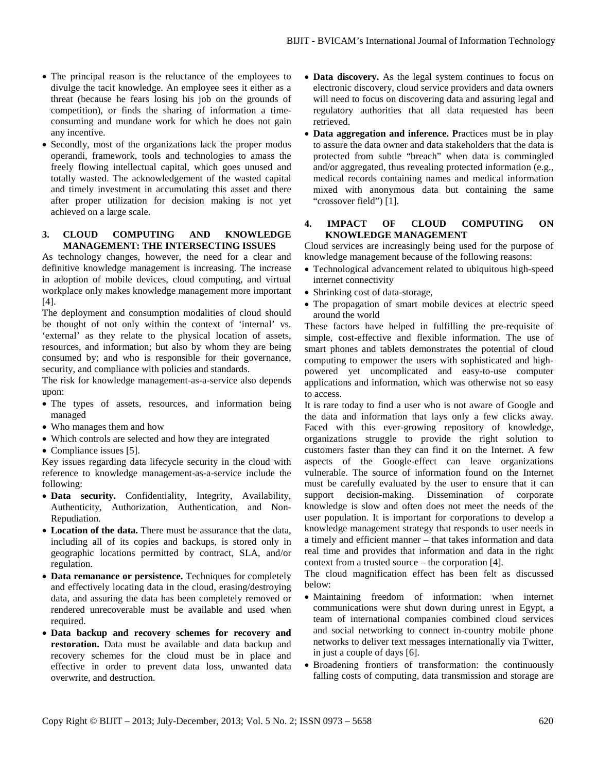- The principal reason is the reluctance of the employees to divulge the tacit knowledge. An employee sees it either as a threat (because he fears losing his job on the grounds of competition), or finds the sharing of information a timeconsuming and mundane work for which he does not gain any incentive.
- Secondly, most of the organizations lack the proper modus operandi, framework, tools and technologies to amass the freely flowing intellectual capital, which goes unused and totally wasted. The acknowledgement of the wasted capital and timely investment in accumulating this asset and there after proper utilization for decision making is not yet achieved on a large scale.

#### **3. CLOUD COMPUTING AND KNOWLEDGE MANAGEMENT: THE INTERSECTING ISSUES**

As technology changes, however, the need for a clear and definitive knowledge management is increasing. The increase in adoption of mobile devices, cloud computing, and virtual workplace only makes knowledge management more important [4].

The deployment and consumption modalities of cloud should be thought of not only within the context of 'internal' vs. 'external' as they relate to the physical location of assets, resources, and information; but also by whom they are being consumed by; and who is responsible for their governance, security, and compliance with policies and standards.

The risk for knowledge management-as-a-service also depends upon:

- The types of assets, resources, and information being managed
- Who manages them and how
- Which controls are selected and how they are integrated
- Compliance issues [5].

Key issues regarding data lifecycle security in the cloud with reference to knowledge management-as-a-service include the following:

- **Data security.** Confidentiality, Integrity, Availability, Authenticity, Authorization, Authentication, and Non-Repudiation.
- **Location of the data.** There must be assurance that the data, including all of its copies and backups, is stored only in geographic locations permitted by contract, SLA, and/or regulation.
- **Data remanance or persistence.** Techniques for completely and effectively locating data in the cloud, erasing/destroying data, and assuring the data has been completely removed or rendered unrecoverable must be available and used when required.
- **Data backup and recovery schemes for recovery and restoration.** Data must be available and data backup and recovery schemes for the cloud must be in place and effective in order to prevent data loss, unwanted data overwrite, and destruction.
- **Data discovery.** As the legal system continues to focus on electronic discovery, cloud service providers and data owners will need to focus on discovering data and assuring legal and regulatory authorities that all data requested has been retrieved.
- **Data aggregation and inference. P**ractices must be in play to assure the data owner and data stakeholders that the data is protected from subtle "breach" when data is commingled and/or aggregated, thus revealing protected information (e.g., medical records containing names and medical information mixed with anonymous data but containing the same "crossover field") [1].

## **4. IMPACT OF CLOUD COMPUTING ON KNOWLEDGE MANAGEMENT**

Cloud services are increasingly being used for the purpose of knowledge management because of the following reasons:

- Technological advancement related to ubiquitous high-speed internet connectivity
- Shrinking cost of data-storage,
- The propagation of smart mobile devices at electric speed around the world

These factors have helped in fulfilling the pre-requisite of simple, cost-effective and flexible information. The use of smart phones and tablets demonstrates the potential of cloud computing to empower the users with sophisticated and highpowered yet uncomplicated and easy-to-use computer applications and information, which was otherwise not so easy to access.

It is rare today to find a user who is not aware of Google and the data and information that lays only a few clicks away. Faced with this ever-growing repository of knowledge, organizations struggle to provide the right solution to customers faster than they can find it on the Internet. A few aspects of the Google-effect can leave organizations vulnerable. The source of information found on the Internet must be carefully evaluated by the user to ensure that it can support decision-making. Dissemination of corporate knowledge is slow and often does not meet the needs of the user population. It is important for corporations to develop a knowledge management strategy that responds to user needs in a timely and efficient manner – that takes information and data real time and provides that information and data in the right context from a trusted source – the corporation [4].

The cloud magnification effect has been felt as discussed below:

- Maintaining freedom of information: when internet communications were shut down during unrest in Egypt, a team of international companies combined cloud services and social networking to connect in-country mobile phone networks to deliver text messages internationally via Twitter, in just a couple of days [6].
- Broadening frontiers of transformation: the continuously falling costs of computing, data transmission and storage are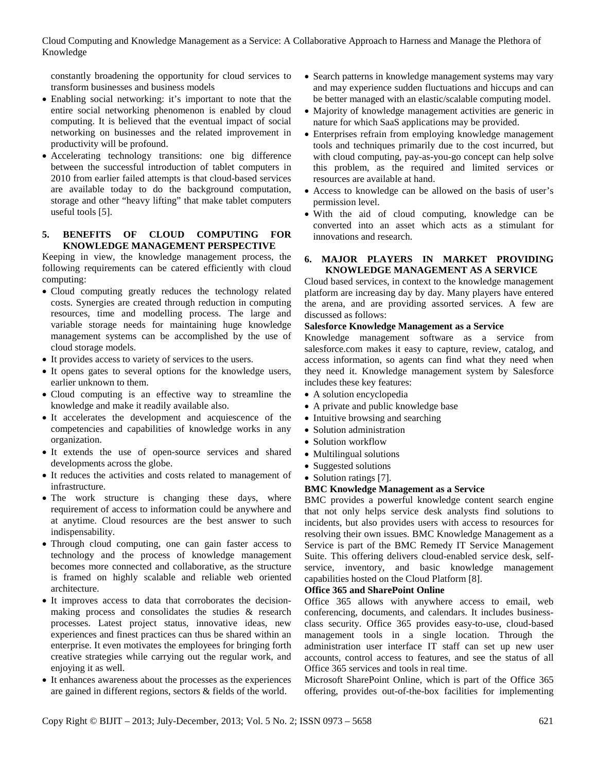Cloud Computing and Knowledge Management as a Service: A Collaborative Approach to Harness and Manage the Plethora of Knowledge

constantly broadening the opportunity for cloud services to transform businesses and business models

- Enabling social networking: it's important to note that the entire social networking phenomenon is enabled by cloud computing. It is believed that the eventual impact of social networking on businesses and the related improvement in productivity will be profound.
- Accelerating technology transitions: one big difference between the successful introduction of tablet computers in 2010 from earlier failed attempts is that cloud-based services are available today to do the background computation, storage and other "heavy lifting" that make tablet computers useful tools [5].

#### **5. BENEFITS OF CLOUD COMPUTING FOR KNOWLEDGE MANAGEMENT PERSPECTIVE**

Keeping in view, the knowledge management process, the following requirements can be catered efficiently with cloud computing:

- Cloud computing greatly reduces the technology related costs. Synergies are created through reduction in computing resources, time and modelling process. The large and variable storage needs for maintaining huge knowledge management systems can be accomplished by the use of cloud storage models.
- It provides access to variety of services to the users.
- It opens gates to several options for the knowledge users, earlier unknown to them.
- Cloud computing is an effective way to streamline the knowledge and make it readily available also.
- It accelerates the development and acquiescence of the competencies and capabilities of knowledge works in any organization.
- It extends the use of open-source services and shared developments across the globe.
- It reduces the activities and costs related to management of infrastructure.
- The work structure is changing these days, where requirement of access to information could be anywhere and at anytime. Cloud resources are the best answer to such indispensability.
- Through cloud computing, one can gain faster access to technology and the process of knowledge management becomes more connected and collaborative, as the structure is framed on highly scalable and reliable web oriented architecture.
- It improves access to data that corroborates the decisionmaking process and consolidates the studies & research processes. Latest project status, innovative ideas, new experiences and finest practices can thus be shared within an enterprise. It even motivates the employees for bringing forth creative strategies while carrying out the regular work, and enjoying it as well.
- It enhances awareness about the processes as the experiences are gained in different regions, sectors & fields of the world.
- Search patterns in knowledge management systems may vary and may experience sudden fluctuations and hiccups and can be better managed with an elastic/scalable computing model.
- Majority of knowledge management activities are generic in nature for which SaaS applications may be provided.
- Enterprises refrain from employing knowledge management tools and techniques primarily due to the cost incurred, but with cloud computing, pay-as-you-go concept can help solve this problem, as the required and limited services or resources are available at hand.
- Access to knowledge can be allowed on the basis of user's permission level.
- With the aid of cloud computing, knowledge can be converted into an asset which acts as a stimulant for innovations and research.

## **6. MAJOR PLAYERS IN MARKET PROVIDING KNOWLEDGE MANAGEMENT AS A SERVICE**

Cloud based services, in context to the knowledge management platform are increasing day by day. Many players have entered the arena, and are providing assorted services. A few are discussed as follows:

#### **Salesforce Knowledge Management as a Service**

Knowledge management software as a service from salesforce.com makes it easy to capture, review, catalog, and access information, so agents can find what they need when they need it. Knowledge management system by Salesforce includes these key features:

- A solution encyclopedia
- A private and public knowledge base
- Intuitive browsing and searching
- Solution administration
- Solution workflow
- Multilingual solutions
- Suggested solutions
- Solution ratings [7].

## **BMC Knowledge Management as a Service**

BMC provides a powerful knowledge content search engine that not only helps service desk analysts find solutions to incidents, but also provides users with access to resources for resolving their own issues. BMC Knowledge Management as a Service is part of the BMC Remedy IT Service Management Suite. This offering delivers cloud-enabled service desk, selfservice, inventory, and basic knowledge management capabilities hosted on the Cloud Platform [8].

## **Office 365 and SharePoint Online**

Office 365 allows with anywhere access to email, web conferencing, documents, and calendars. It includes businessclass security. Office 365 provides easy-to-use, cloud-based management tools in a single location. Through the administration user interface IT staff can set up new user accounts, control access to features, and see the status of all Office 365 services and tools in real time.

Microsoft SharePoint Online, which is part of the Office 365 offering, provides out-of-the-box facilities for implementing